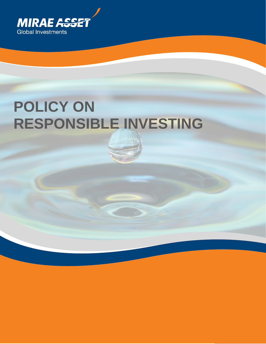

# **POLICY ON RESPONSIBLE INVESTING**

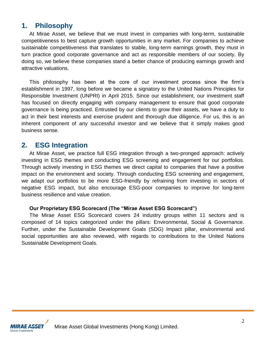### **1. Philosophy**

At Mirae Asset, we believe that we must invest in companies with long-term, sustainable competitiveness to best capture growth opportunities in any market. For companies to achieve sustainable competitiveness that translates to stable, long-term earnings growth, they must in turn practice good corporate governance and act as responsible members of our society. By doing so, we believe these companies stand a better chance of producing earnings growth and attractive valuations.

This philosophy has been at the core of our investment process since the firm's establishment in 1997, long before we became a signatory to the United Nations Principles for Responsible Investment (UNPRI) in April 2015. Since our establishment, our investment staff has focused on directly engaging with company management to ensure that good corporate governance is being practiced. Entrusted by our clients to grow their assets, we have a duty to act in their best interests and exercise prudent and thorough due diligence. For us, this is an inherent component of any successful investor and we believe that it simply makes good business sense.

### **2. ESG Integration**

At Mirae Asset, we practice full ESG integration through a two-pronged approach: actively investing in ESG themes and conducting ESG screening and engagement for our portfolios. Through actively investing in ESG themes we direct capital to companies that have a positive impact on the environment and society. Through conducting ESG screening and engagement, we adapt our portfolios to be more ESG-friendly by refraining from investing in sectors of negative ESG impact, but also encourage ESG-poor companies to improve for long-term business resilience and value creation.

#### **Our Proprietary ESG Scorecard (The "Mirae Asset ESG Scorecard")**

The Mirae Asset ESG Scorecard covers 24 industry groups within 11 sectors and is composed of 14 topics categorized under the pillars: Environmental, Social & Governance. Further, under the Sustainable Development Goals (SDG) Impact pillar, environmental and social opportunities are also reviewed, with regards to contributions to the United Nations Sustainable Development Goals.



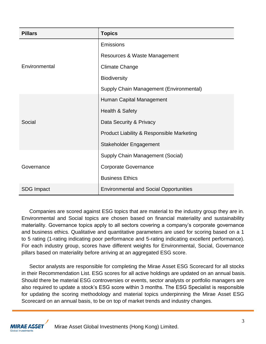| <b>Pillars</b>    | <b>Topics</b>                                        |
|-------------------|------------------------------------------------------|
|                   | Emissions                                            |
|                   | Resources & Waste Management                         |
| Environmental     | <b>Climate Change</b>                                |
|                   | <b>Biodiversity</b>                                  |
|                   | Supply Chain Management (Environmental)              |
|                   | Human Capital Management                             |
|                   | Health & Safety                                      |
| Social            | Data Security & Privacy                              |
|                   | <b>Product Liability &amp; Responsible Marketing</b> |
|                   | Stakeholder Engagement                               |
|                   | Supply Chain Management (Social)                     |
| Governance        | <b>Corporate Governance</b>                          |
|                   | <b>Business Ethics</b>                               |
| <b>SDG Impact</b> | <b>Environmental and Social Opportunities</b>        |

Companies are scored against ESG topics that are material to the industry group they are in. Environmental and Social topics are chosen based on financial materiality and sustainability materiality. Governance topics apply to all sectors covering a company's corporate governance and business ethics. Qualitative and quantitative parameters are used for scoring based on a 1 to 5 rating (1-rating indicating poor performance and 5-rating indicating excellent performance). For each industry group, scores have different weights for Environmental, Social, Governance pillars based on materiality before arriving at an aggregated ESG score.

Sector analysts are responsible for completing the Mirae Asset ESG Scorecard for all stocks in their Recommendation List. ESG scores for all active holdings are updated on an annual basis. Should there be material ESG controversies or events, sector analysts or portfolio managers are also required to update a stock's ESG score within 3 months. The ESG Specialist is responsible for updating the scoring methodology and material topics underpinning the Mirae Asset ESG Scorecard on an annual basis, to be on top of market trends and industry changes.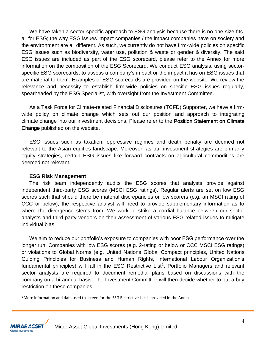We have taken a sector-specific approach to ESG analysis because there is no one-size-fitsall for ESG; the way ESG issues impact companies / the impact companies have on society and the environment are all different. As such, we currently do not have firm-wide policies on specific ESG issues such as biodiversity, water use, pollution & waste or gender & diversity. The said ESG issues are included as part of the ESG scorecard, please refer to the Annex for more information on the composition of the ESG Scorecard. We conduct ESG analysis, using sectorspecific ESG scorecards, to assess a company's impact or the impact it has on ESG issues that are material to them. Examples of ESG scorecards are provided on the website. We review the relevance and necessity to establish firm-wide policies on specific ESG issues regularly, spearheaded by the ESG Specialist, with oversight from the Investment Committee.

As a Task Force for Climate-related Financial Disclosures (TCFD) Supporter, we have a firmwide policy on climate change which sets out our position and approach to integrating [climate change into our investment decisions. Please refer to the Position Statement on Climate](https://investments.miraeasset.com.hk/docs/position_statement.pdf)  Change published on the website.

ESG issues such as taxation, oppressive regimes and death penalty are deemed not relevant to the Asian equities landscape. Moreover, as our investment strategies are primarily equity strategies, certain ESG issues like forward contracts on agricultural commodities are deemed not relevant.

#### **ESG Risk Management**

The risk team independently audits the ESG scores that analysts provide against independent third-party ESG scores (MSCI ESG ratings). Regular alerts are set on low ESG scores such that should there be material discrepancies or low scorers (e.g. an MSCI rating of CCC or below), the respective analyst will need to provide supplementary information as to where the divergence stems from. We work to strike a cordial balance between our sector analysts and third-party vendors on their assessment of various ESG related issues to mitigate individual bias.

We aim to reduce our portfolio's exposure to companies with poor ESG performance over the longer run. Companies with low ESG scores (e.g. 2-rating or below or CCC MSCI ESG ratings) or violations to Global Norms (e.g. United Nations Global Compact principles, United Nations Guiding Principles for Business and Human Rights, International Labour Organization's fundamental principles) will fall in the ESG Restrictive List<sup>1</sup>. Portfolio Managers and relevant sector analysts are required to document remedial plans based on discussions with the company on a bi-annual basis. The Investment Committee will then decide whether to put a buy restriction on these companies.

<sup>1</sup> More information and data used to screen for the ESG Restrictive List is provided in the Annex.

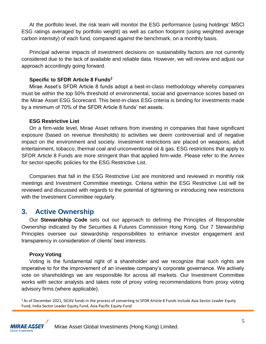At the portfolio level, the risk team will monitor the ESG performance (using holdings' MSCI ESG ratings averaged by portfolio weight) as well as carbon footprint (using weighted average carbon intensity) of each fund, compared against the benchmark, on a monthly basis.

Principal adverse impacts of investment decisions on sustainability factors are not currently considered due to the lack of available and reliable data. However, we will review and adjust our approach accordingly going forward.

#### **Specific to SFDR Article 8 Funds<sup>2</sup>**

Mirae Asset's SFDR Article 8 funds adopt a best-in-class methodology whereby companies must be within the top 50% threshold of environmental, social and governance scores based on the Mirae Asset ESG Scorecard. This best-in-class ESG criteria is binding for investments made by a minimum of 70% of the SFDR Article 8 funds' net assets.

#### **ESG Restrictive List**

On a firm-wide level, Mirae Asset refrains from investing in companies that have significant exposure (based on revenue thresholds) to activities we deem controversial and of negative impact on the environment and society. Investment restrictions are placed on weapons, adult entertainment, tobacco, thermal coal and unconventional oil & gas. ESG restrictions that apply to SFDR Article 8 Funds are more stringent than that applied firm-wide. Please refer to the Annex for sector-specific policies for the ESG Restrictive List.

Companies that fall in the ESG Restrictive List are monitored and reviewed in monthly risk meetings and Investment Committee meetings. Criteria within the ESG Restrictive List will be reviewed and discussed with regards to the potential of tightening or introducing new restrictions with the Investment Committee regularly.

### **3. Active Ownership**

Our **[Stewardship Code](https://investments.miraeasset.com.hk/docs/Stewardship_Code.pdf)** sets out our approach to defining the Principles of Responsible Ownership indicated by the Securities & Futures Commission Hong Kong. Our 7 Stewardship Principles oversee our stewardship responsibilities to enhance investor engagement and transparency in consideration of clients' best interests.

#### **Proxy Voting**

Voting is the fundamental right of a shareholder and we recognize that such rights are imperative to for the improvement of an investee company's corporate governance. We actively vote on shareholdings we are responsible for across all markets. Our Investment Committee works with sector analysts and takes note of proxy voting recommendations from proxy voting advisory firms (where applicable).

<sup>2</sup> As of December 2021, SICAV funds in the process of converting to SFDR Article 8 Funds include Asia Sector Leader Equity Fund, India Sector Leader Equity Fund, Asia Pacific Equity Fund

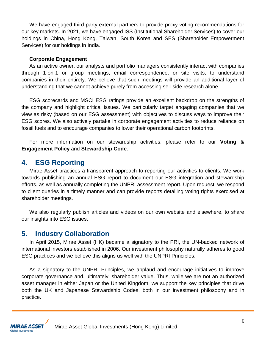We have engaged third-party external partners to provide proxy voting recommendations for our key markets. In 2021, we have engaged ISS (Institutional Shareholder Services) to cover our holdings in China, Hong Kong, Taiwan, South Korea and SES (Shareholder Empowerment Services) for our holdings in India.

#### **Corporate Engagement**

As an active owner, our analysts and portfolio managers consistently interact with companies, through 1-on-1 or group meetings, email correspondence, or site visits, to understand companies in their entirety. We believe that such meetings will provide an additional layer of understanding that we cannot achieve purely from accessing sell-side research alone.

ESG scorecards and MSCI ESG ratings provide an excellent backdrop on the strengths of the company and highlight critical issues. We particularly target engaging companies that we view as risky (based on our ESG assessment) with objectives to discuss ways to improve their ESG scores. We also actively partake in corporate engagement activities to reduce reliance on fossil fuels and to encourage companies to lower their operational carbon footprints.

For more information on our stewardship activities, please refer to our **[Voting &](https://investments.miraeasset.com.hk/docs/voting_engagement_policy.pdf)  [Engagement Policy](https://investments.miraeasset.com.hk/docs/voting_engagement_policy.pdf)** and **[Stewardship Code](https://investments.miraeasset.com.hk/docs/Stewardship_Code.pdf)**.

### **4. ESG Reporting**

Mirae Asset practices a transparent approach to reporting our activities to clients. We work towards publishing an annual ESG report to document our ESG integration and stewardship efforts, as well as annually completing the UNPRI assessment report. Upon request, we respond to client queries in a timely manner and can provide reports detailing voting rights exercised at shareholder meetings.

We also regularly publish articles and videos on our own website and elsewhere, to share our insights into ESG issues.

### **5. Industry Collaboration**

In April 2015, Mirae Asset (HK) became a signatory to the PRI, the UN-backed network of international investors established in 2006. Our investment philosophy naturally adheres to good ESG practices and we believe this aligns us well with the UNPRI Principles.

As a signatory to the UNPRI Principles, we applaud and encourage initiatives to improve corporate governance and, ultimately, shareholder value. Thus, while we are not an authorized asset manager in either Japan or the United Kingdom, we support the key principles that drive both the UK and Japanese Stewardship Codes, both in our investment philosophy and in practice.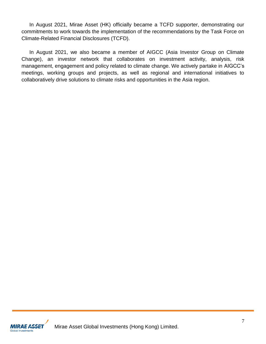In August 2021, Mirae Asset (HK) officially became a TCFD supporter, demonstrating our commitments to work towards the implementation of the recommendations by the Task Force on Climate-Related Financial Disclosures (TCFD).

In August 2021, we also became a member of AIGCC (Asia Investor Group on Climate Change), an investor network that collaborates on investment activity, analysis, risk management, engagement and policy related to climate change. We actively partake in AIGCC's meetings, working groups and projects, as well as regional and international initiatives to collaboratively drive solutions to climate risks and opportunities in the Asia region.

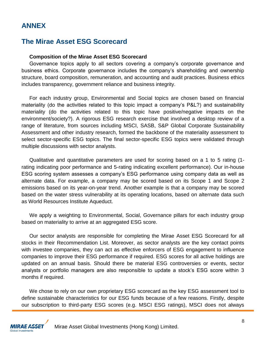### **ANNEX**

### **The Mirae Asset ESG Scorecard**

#### **Composition of the Mirae Asset ESG Scorecard**

Governance topics apply to all sectors covering a company's corporate governance and business ethics. Corporate governance includes the company's shareholding and ownership structure, board composition, remuneration, and accounting and audit practices. Business ethics includes transparency, government reliance and business integrity.

For each industry group, Environmental and Social topics are chosen based on financial materiality (do the activities related to this topic impact a company's P&L?) and sustainability materiality (do the activities related to this topic have positive/negative impacts on the environment/society?). A rigorous ESG research exercise that involved a desktop review of a range of literature, from sources including MSCI, SASB, S&P Global Corporate Sustainability Assessment and other industry research, formed the backbone of the materiality assessment to select sector-specific ESG topics. The final sector-specific ESG topics were validated through multiple discussions with sector analysts.

Qualitative and quantitative parameters are used for scoring based on a 1 to 5 rating (1 rating indicating poor performance and 5-rating indicating excellent performance). Our in-house ESG scoring system assesses a company's ESG performance using company data as well as alternate data. For example, a company may be scored based on its Scope 1 and Scope 2 emissions based on its year-on-year trend. Another example is that a company may be scored based on the water stress vulnerability at its operating locations, based on alternate data such as World Resources Institute Aqueduct.

We apply a weighting to Environmental, Social, Governance pillars for each industry group based on materiality to arrive at an aggregated ESG score.

Our sector analysts are responsible for completing the Mirae Asset ESG Scorecard for all stocks in their Recommendation List. Moreover, as sector analysts are the key contact points with investee companies, they can act as effective enforcers of ESG engagement to influence companies to improve their ESG performance if required. ESG scores for all active holdings are updated on an annual basis. Should there be material ESG controversies or events, sector analysts or portfolio managers are also responsible to update a stock's ESG score within 3 months if required.

We chose to rely on our own proprietary ESG scorecard as the key ESG assessment tool to define sustainable characteristics for our ESG funds because of a few reasons. Firstly, despite our subscription to third-party ESG scores (e.g. MSCI ESG ratings), MSCI does not always

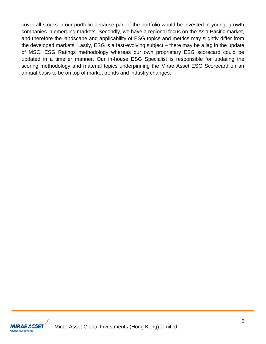cover all stocks in our portfolio because part of the portfolio would be invested in young, growth companies in emerging markets. Secondly, we have a regional focus on the Asia Pacific market, and therefore the landscape and applicability of ESG topics and metrics may slightly differ from the developed markets. Lastly, ESG is a fast-evolving subject – there may be a lag in the update of MSCI ESG Ratings methodology whereas our own proprietary ESG scorecard could be updated in a timelier manner. Our in-house ESG Specialist is responsible for updating the scoring methodology and material topics underpinning the Mirae Asset ESG Scorecard on an annual basis to be on top of market trends and industry changes.

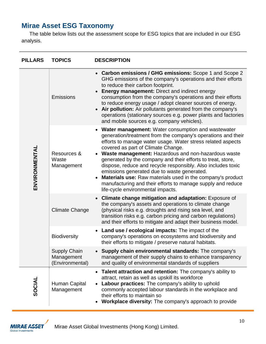### **Mirae Asset ESG Taxonomy**

The table below lists out the assessment scope for ESG topics that are included in our ESG analysis.

| <b>PILLARS</b> | <b>TOPICS</b>                                        | <b>DESCRIPTION</b>                                                                                                                                                                                                                                                                                                                                                                                                                                                                                                                                                                                                                    |
|----------------|------------------------------------------------------|---------------------------------------------------------------------------------------------------------------------------------------------------------------------------------------------------------------------------------------------------------------------------------------------------------------------------------------------------------------------------------------------------------------------------------------------------------------------------------------------------------------------------------------------------------------------------------------------------------------------------------------|
| ENVIRONMENTAL  | Emissions                                            | Carbon emissions / GHG emissions: Scope 1 and Scope 2<br>$\bullet$<br>GHG emissions of the company's operations and their efforts<br>to reduce their carbon footprint.<br><b>Energy management: Direct and indirect energy</b><br>consumption from the company's operations and their efforts<br>to reduce energy usage / adopt cleaner sources of energy.<br>Air pollution: Air pollutants generated from the company's<br>operations (stationary sources e.g. power plants and factories<br>and mobile sources e.g. company vehicles).                                                                                              |
|                | Resources &<br>Waste<br>Management                   | <b>Water management:</b> Water consumption and wastewater<br>generation/treatment from the company's operations and their<br>efforts to manage water usage. Water stress related aspects<br>covered as part of Climate Change.<br>Waste management: Hazardous and non-hazardous waste<br>generated by the company and their efforts to treat, store,<br>dispose, reduce and recycle responsibly. Also includes toxic<br>emissions generated due to waste generated.<br>Materials use: Raw materials used in the company's product<br>manufacturing and their efforts to manage supply and reduce<br>life-cycle environmental impacts. |
|                | <b>Climate Change</b>                                | Climate change mitigation and adaptation: Exposure of<br>the company's assets and operations to climate change<br>(physical risks e.g. droughts and rising sea level, and<br>transition risks e.g. carbon pricing and carbon regulations)<br>and their efforts to mitigate and adapt their business model.                                                                                                                                                                                                                                                                                                                            |
|                | <b>Biodiversity</b>                                  | Land use / ecological impacts: The impact of the<br>$\bullet$<br>company's operations on ecosystems and biodiversity and<br>their efforts to mitigate / preserve natural habitats.                                                                                                                                                                                                                                                                                                                                                                                                                                                    |
|                | <b>Supply Chain</b><br>Management<br>(Environmental) | Supply chain environmental standards: The company's<br>management of their supply chains to enhance transparency<br>and quality of environmental standards of suppliers                                                                                                                                                                                                                                                                                                                                                                                                                                                               |
| SOCIAL         | Human Capital<br>Management                          | <b>Talent attraction and retention:</b> The company's ability to<br>$\bullet$<br>attract, retain as well as upskill its workforce<br>Labour practices: The company's ability to uphold<br>commonly accepted labour standards in the workplace and<br>their efforts to maintain so<br>Workplace diversity: The company's approach to provide                                                                                                                                                                                                                                                                                           |

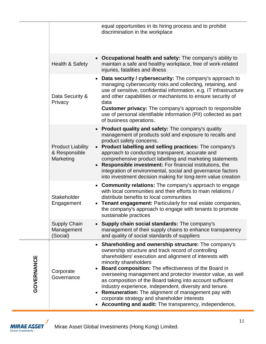|            |                                                        | equal opportunities in its hiring process and to prohibit<br>discrimination in the workplace                                                                                                                                                                                                                                                                                                                                                                                                                                                                                                                           |
|------------|--------------------------------------------------------|------------------------------------------------------------------------------------------------------------------------------------------------------------------------------------------------------------------------------------------------------------------------------------------------------------------------------------------------------------------------------------------------------------------------------------------------------------------------------------------------------------------------------------------------------------------------------------------------------------------------|
|            | <b>Health &amp; Safety</b>                             | Occupational health and safety: The company's ability to<br>maintain a safe and healthy workplace, free of work-related<br>injuries, fatalities and illness                                                                                                                                                                                                                                                                                                                                                                                                                                                            |
|            | Data Security &<br>Privacy                             | Data security / cybersecurity: The company's approach to<br>managing cybersecurity risks and collecting, retaining, and<br>use of sensitive, confidential information, e.g. IT infrastructure<br>and other capabilities or mechanisms to ensure security of<br>data<br><b>Customer privacy:</b> The company's approach to responsible<br>use of personal identifiable information (PII) collected as part<br>of business operations.                                                                                                                                                                                   |
|            | <b>Product Liability</b><br>& Responsible<br>Marketing | <b>Product quality and safety:</b> The company's quality<br>management of products sold and exposure to recalls and<br>product safety concerns.<br>• Product labelling and selling practices: The company's<br>approach to conducting transparent, accurate and<br>comprehensive product labelling and marketing statements<br><b>Responsible investment:</b> For financial institutions, the<br>integration of environmental, social and governance factors<br>into investment decision making for long-term value creation                                                                                           |
|            | Stakeholder<br>Engagement                              | Community relations: The company's approach to engage<br>$\bullet$<br>with local communities and their efforts to main relations /<br>distribute benefits to local communities<br>Tenant engagement: Particularly for real estate companies,<br>the company's approach to engage with tenants to promote<br>sustainable practices                                                                                                                                                                                                                                                                                      |
|            | <b>Supply Chain</b><br>Management<br>(Social)          | Supply chain social standards: The company's<br>management of their supply chains to enhance transparency<br>and quality of social standards of suppliers                                                                                                                                                                                                                                                                                                                                                                                                                                                              |
| GOVERNANCE | Corporate<br>Governance                                | • Shareholding and ownership structure: The company's<br>ownership structure and track record of controlling<br>shareholders' execution and alignment of interests with<br>minority shareholders<br>Board composition: The effectiveness of the Board in<br>overseeing management and protector investor value, as well<br>as composition of the Board taking into account sufficient<br>industry experience, independent, diversity and tenure.<br><b>Remuneration:</b> The alignment of management pay with<br>corporate strategy and shareholder interests<br>Accounting and audit: The transparency, independence, |

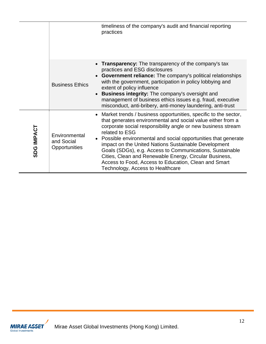|            |                                                  | timeliness of the company's audit and financial reporting<br>practices                                                                                                                                                                                                                                                                                                                                                                                                                                                                                          |
|------------|--------------------------------------------------|-----------------------------------------------------------------------------------------------------------------------------------------------------------------------------------------------------------------------------------------------------------------------------------------------------------------------------------------------------------------------------------------------------------------------------------------------------------------------------------------------------------------------------------------------------------------|
|            | $\bullet$<br><b>Business Ethics</b><br>$\bullet$ | • Transparency: The transparency of the company's tax<br>practices and ESG disclosures<br><b>Government reliance:</b> The company's political relationships<br>with the government, participation in policy lobbying and<br>extent of policy influence<br><b>Business integrity:</b> The company's oversight and<br>management of business ethics issues e.g. fraud, executive<br>misconduct, anti-bribery, anti-money laundering, anti-trust                                                                                                                   |
| SDG IMPACT | Environmental<br>and Social<br>Opportunities     | • Market trends / business opportunities, specific to the sector,<br>that generates environmental and social value either from a<br>corporate social responsibility angle or new business stream<br>related to ESG<br>• Possible environmental and social opportunities that generate<br>impact on the United Nations Sustainable Development<br>Goals (SDGs), e.g. Access to Communications, Sustainable<br>Cities, Clean and Renewable Energy, Circular Business,<br>Access to Food, Access to Education, Clean and Smart<br>Technology, Access to Healthcare |

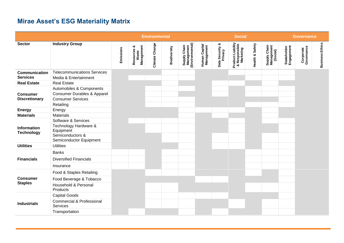## **Mirae Asset's ESG Materiality Matrix**

|                                         |                                                                                                             |           |                                         | <b>Environmental</b> |              |                                               |                             |                            | <b>Social</b>                                   |                 |                                        |                           | <b>Governance</b>       |                        |
|-----------------------------------------|-------------------------------------------------------------------------------------------------------------|-----------|-----------------------------------------|----------------------|--------------|-----------------------------------------------|-----------------------------|----------------------------|-------------------------------------------------|-----------------|----------------------------------------|---------------------------|-------------------------|------------------------|
| <b>Sector</b>                           | <b>Industry Group</b>                                                                                       | Emissions | Management<br>ಯ<br>Resources &<br>Waste | Climate Change       | Biodiversity | Supply Chain<br>Management<br>(Environmental) | Human Capital<br>Management | Data Security &<br>Privacy | Product Liability<br>& Responsible<br>Marketing | Health & Safety | Supply Chain<br>Management<br>(Social) | Stakeholder<br>Engagement | Corporate<br>Governance | <b>Business Ethics</b> |
| <b>Communication</b><br><b>Services</b> | <b>Telecommunications Services</b><br>Media & Entertainment                                                 |           |                                         |                      |              |                                               |                             |                            |                                                 |                 |                                        |                           |                         |                        |
| <b>Real Estate</b>                      | <b>Real Estate</b>                                                                                          |           |                                         |                      |              |                                               |                             |                            |                                                 |                 |                                        |                           |                         |                        |
| <b>Consumer</b><br><b>Discretionary</b> | Automobiles & Components<br><b>Consumer Durables &amp; Apparel</b><br><b>Consumer Services</b><br>Retailing |           |                                         |                      |              |                                               |                             |                            |                                                 |                 |                                        |                           |                         |                        |
| <b>Energy</b>                           | Energy                                                                                                      |           |                                         |                      |              |                                               |                             |                            |                                                 |                 |                                        |                           |                         |                        |
| <b>Materials</b>                        | Materials                                                                                                   |           |                                         |                      |              |                                               |                             |                            |                                                 |                 |                                        |                           |                         |                        |
| Information<br><b>Technology</b>        | Software & Services<br>Technology Hardware &<br>Equipment<br>Semiconductors &<br>Semiconductor Equipment    |           |                                         |                      |              |                                               |                             |                            |                                                 |                 |                                        |                           |                         |                        |
| <b>Utilities</b>                        | <b>Utilities</b>                                                                                            |           |                                         |                      |              |                                               |                             |                            |                                                 |                 |                                        |                           |                         |                        |
| <b>Financials</b>                       | <b>Banks</b><br><b>Diversified Financials</b><br>Insurance                                                  |           |                                         |                      |              |                                               |                             |                            |                                                 |                 |                                        |                           |                         |                        |
|                                         | Food & Staples Retailing                                                                                    |           |                                         |                      |              |                                               |                             |                            |                                                 |                 |                                        |                           |                         |                        |
| <b>Consumer</b><br><b>Staples</b>       | Food Beverage & Tobacco<br>Household & Personal                                                             |           |                                         |                      |              |                                               |                             |                            |                                                 |                 |                                        |                           |                         |                        |
| <b>Industrials</b>                      | Products<br><b>Capital Goods</b><br><b>Commercial &amp; Professional</b><br>Services                        |           |                                         |                      |              |                                               |                             |                            |                                                 |                 |                                        |                           |                         |                        |
|                                         | Transportation                                                                                              |           |                                         |                      |              |                                               |                             |                            |                                                 |                 |                                        |                           |                         |                        |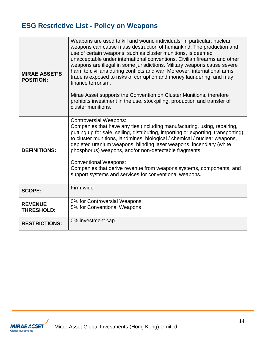# **ESG Restrictive List - Policy on Weapons**

| <b>MIRAE ASSET'S</b><br><b>POSITION:</b> | Weapons are used to kill and wound individuals. In particular, nuclear<br>weapons can cause mass destruction of humankind. The production and<br>use of certain weapons, such as cluster munitions, is deemed<br>unacceptable under international conventions. Civilian firearms and other<br>weapons are illegal in some jurisdictions. Military weapons cause severe<br>harm to civilians during conflicts and war. Moreover, international arms<br>trade is exposed to risks of corruption and money laundering, and may<br>finance terrorism.<br>Mirae Asset supports the Convention on Cluster Munitions, therefore<br>prohibits investment in the use, stockpiling, production and transfer of<br>cluster munitions. |
|------------------------------------------|----------------------------------------------------------------------------------------------------------------------------------------------------------------------------------------------------------------------------------------------------------------------------------------------------------------------------------------------------------------------------------------------------------------------------------------------------------------------------------------------------------------------------------------------------------------------------------------------------------------------------------------------------------------------------------------------------------------------------|
| <b>DEFINITIONS:</b>                      | <b>Controversial Weapons:</b><br>Companies that have any ties (including manufacturing, using, repairing,<br>putting up for sale, selling, distributing, importing or exporting, transporting)<br>to cluster munitions, landmines, biological / chemical / nuclear weapons,<br>depleted uranium weapons, blinding laser weapons, incendiary (white<br>phosphorus) weapons, and/or non-detectable fragments.<br><b>Conventional Weapons:</b><br>Companies that derive revenue from weapons systems, components, and<br>support systems and services for conventional weapons.                                                                                                                                               |
| <b>SCOPE:</b>                            | Firm-wide                                                                                                                                                                                                                                                                                                                                                                                                                                                                                                                                                                                                                                                                                                                  |
| <b>REVENUE</b><br><b>THRESHOLD:</b>      | 0% for Controversial Weapons<br>5% for Conventional Weapons                                                                                                                                                                                                                                                                                                                                                                                                                                                                                                                                                                                                                                                                |
| <b>RESTRICTIONS:</b>                     | 0% investment cap                                                                                                                                                                                                                                                                                                                                                                                                                                                                                                                                                                                                                                                                                                          |

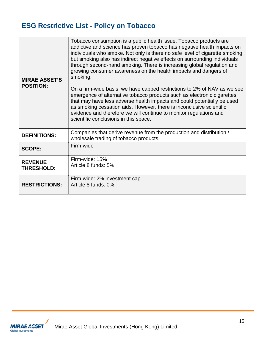# **ESG Restrictive List - Policy on Tobacco**

| <b>MIRAE ASSET'S</b><br><b>POSITION:</b> | Tobacco consumption is a public health issue. Tobacco products are<br>addictive and science has proven tobacco has negative health impacts on<br>individuals who smoke. Not only is there no safe level of cigarette smoking,<br>but smoking also has indirect negative effects on surrounding individuals<br>through second-hand smoking. There is increasing global regulation and<br>growing consumer awareness on the health impacts and dangers of<br>smoking.<br>On a firm-wide basis, we have capped restrictions to 2% of NAV as we see<br>emergence of alternative tobacco products such as electronic cigarettes<br>that may have less adverse health impacts and could potentially be used<br>as smoking cessation aids. However, there is inconclusive scientific<br>evidence and therefore we will continue to monitor regulations and<br>scientific conclusions in this space. |
|------------------------------------------|----------------------------------------------------------------------------------------------------------------------------------------------------------------------------------------------------------------------------------------------------------------------------------------------------------------------------------------------------------------------------------------------------------------------------------------------------------------------------------------------------------------------------------------------------------------------------------------------------------------------------------------------------------------------------------------------------------------------------------------------------------------------------------------------------------------------------------------------------------------------------------------------|
| <b>DEFINITIONS:</b>                      | Companies that derive revenue from the production and distribution /<br>wholesale trading of tobacco products.                                                                                                                                                                                                                                                                                                                                                                                                                                                                                                                                                                                                                                                                                                                                                                               |
| <b>SCOPE:</b>                            | Firm-wide                                                                                                                                                                                                                                                                                                                                                                                                                                                                                                                                                                                                                                                                                                                                                                                                                                                                                    |
| <b>REVENUE</b><br><b>THRESHOLD:</b>      | Firm-wide: 15%<br>Article 8 funds: 5%                                                                                                                                                                                                                                                                                                                                                                                                                                                                                                                                                                                                                                                                                                                                                                                                                                                        |
| <b>RESTRICTIONS:</b>                     | Firm-wide: 2% investment cap<br>Article 8 funds: 0%                                                                                                                                                                                                                                                                                                                                                                                                                                                                                                                                                                                                                                                                                                                                                                                                                                          |

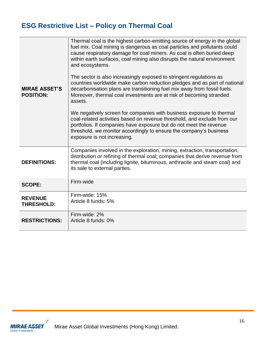# **ESG Restrictive List – Policy on Thermal Coal**

| <b>MIRAE ASSET'S</b><br><b>POSITION:</b> | Thermal coal is the highest carbon-emitting source of energy in the global<br>fuel mix. Coal mining is dangerous as coal particles and pollutants could<br>cause respiratory damage for coal miners. As coal is often buried deep<br>within earth surfaces, coal mining also disrupts the natural environment<br>and ecosystems.<br>The sector is also increasingly exposed to stringent regulations as<br>countries worldwide make carbon reduction pledges and as part of national<br>decarbonisation plans are transitioning fuel mix away from fossil fuels.<br>Moreover, thermal coal investments are at risk of becoming stranded<br>assets.<br>We negatively screen for companies with business exposure to thermal<br>coal-related activities based on revenue threshold, and exclude from our<br>portfolios. If companies have exposure but do not meet the revenue<br>threshold, we monitor accordingly to ensure the company's business<br>exposure is not increasing. |
|------------------------------------------|-----------------------------------------------------------------------------------------------------------------------------------------------------------------------------------------------------------------------------------------------------------------------------------------------------------------------------------------------------------------------------------------------------------------------------------------------------------------------------------------------------------------------------------------------------------------------------------------------------------------------------------------------------------------------------------------------------------------------------------------------------------------------------------------------------------------------------------------------------------------------------------------------------------------------------------------------------------------------------------|
| <b>DEFINITIONS:</b>                      | Companies involved in the exploration, mining, extraction, transportation,<br>distribution or refining of thermal coal; companies that derive revenue from<br>thermal coal (including lignite, bituminous, anthracite and steam coal) and<br>its sale to external parties.                                                                                                                                                                                                                                                                                                                                                                                                                                                                                                                                                                                                                                                                                                        |
| <b>SCOPE:</b>                            | Firm-wide                                                                                                                                                                                                                                                                                                                                                                                                                                                                                                                                                                                                                                                                                                                                                                                                                                                                                                                                                                         |
| <b>REVENUE</b><br><b>THRESHOLD:</b>      | Firm-wide: 15%<br>Article 8 funds: 5%                                                                                                                                                                                                                                                                                                                                                                                                                                                                                                                                                                                                                                                                                                                                                                                                                                                                                                                                             |
| <b>RESTRICTIONS:</b>                     | Firm-wide: 2%<br>Article 8 funds: 0%                                                                                                                                                                                                                                                                                                                                                                                                                                                                                                                                                                                                                                                                                                                                                                                                                                                                                                                                              |

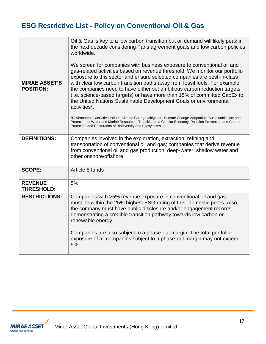# **ESG Restrictive List - Policy on Conventional Oil & Gas**

| <b>MIRAE ASSET'S</b><br><b>POSITION:</b> | Oil & Gas is key to a low carbon transition but oil demand will likely peak in<br>the next decade considering Paris agreement goals and low carbon policies<br>worldwide.<br>We screen for companies with business exposure to conventional oil and<br>gas-related activities based on revenue threshold. We monitor our portfolio<br>exposure to this sector and ensure selected companies are best-in-class<br>with clear low carbon transition paths away from fossil fuels. For example,<br>the companies need to have either set ambitious carbon reduction targets<br>(i.e. science-based targets) or have more than 15% of committed CapEx to<br>the United Nations Sustainable Development Goals or environmental<br>activities*.<br>*Environmental activities include Climate Change Mitigation, Climate Change Adaptation, Sustainable Use and<br>Protection of Water and Marine Resources, Transition to a Circular Economy, Pollution Prevention and Control,<br>Protection and Restoration of Biodiversity and Ecosystems |
|------------------------------------------|----------------------------------------------------------------------------------------------------------------------------------------------------------------------------------------------------------------------------------------------------------------------------------------------------------------------------------------------------------------------------------------------------------------------------------------------------------------------------------------------------------------------------------------------------------------------------------------------------------------------------------------------------------------------------------------------------------------------------------------------------------------------------------------------------------------------------------------------------------------------------------------------------------------------------------------------------------------------------------------------------------------------------------------|
| <b>DEFINITIONS:</b>                      | Companies involved in the exploration, extraction, refining and<br>transportation of conventional oil and gas; companies that derive revenue<br>from conventional oil and gas production, deep-water, shallow water and<br>other onshore/offshore.                                                                                                                                                                                                                                                                                                                                                                                                                                                                                                                                                                                                                                                                                                                                                                                     |
| <b>SCOPE:</b>                            | Article 8 funds                                                                                                                                                                                                                                                                                                                                                                                                                                                                                                                                                                                                                                                                                                                                                                                                                                                                                                                                                                                                                        |
| <b>REVENUE</b><br><b>THRESHOLD:</b>      | 5%                                                                                                                                                                                                                                                                                                                                                                                                                                                                                                                                                                                                                                                                                                                                                                                                                                                                                                                                                                                                                                     |
| <b>RESTRICTIONS:</b>                     | Companies with >5% revenue exposure in conventional oil and gas<br>must be within the 25% highest ESG rating of their domestic peers. Also,<br>the company must have public disclosure and/or engagement records<br>demonstrating a credible transition pathway towards low carbon or<br>renewable energy.<br>Companies are also subject to a phase-out margin. The total portfolio<br>exposure of all companies subject to a phase-out margin may not exceed<br>5%.                                                                                                                                                                                                                                                                                                                                                                                                                                                                                                                                                                   |
|                                          |                                                                                                                                                                                                                                                                                                                                                                                                                                                                                                                                                                                                                                                                                                                                                                                                                                                                                                                                                                                                                                        |

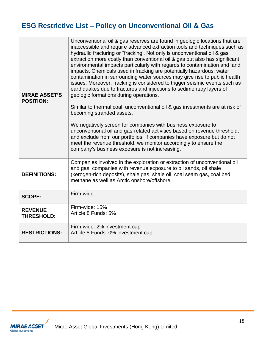# **ESG Restrictive List – Policy on Unconventional Oil & Gas**

| <b>MIRAE ASSET'S</b><br><b>POSITION:</b> | Unconventional oil & gas reserves are found in geologic locations that are<br>inaccessible and require advanced extraction tools and techniques such as<br>hydraulic fracturing or "fracking'. Not only is unconventional oil & gas<br>extraction more costly than conventional oil & gas but also has significant<br>environmental impacts particularly with regards to contamination and land<br>impacts. Chemicals used in fracking are potentially hazardous; water<br>contamination in surrounding water sources may give rise to public health<br>issues. Moreover, fracking is considered to trigger seismic events such as<br>earthquakes due to fractures and injections to sedimentary layers of<br>geologic formations during operations.<br>Similar to thermal coal, unconventional oil & gas investments are at risk of<br>becoming stranded assets.<br>We negatively screen for companies with business exposure to<br>unconventional oil and gas-related activities based on revenue threshold,<br>and exclude from our portfolios. If companies have exposure but do not<br>meet the revenue threshold, we monitor accordingly to ensure the<br>company's business exposure is not increasing. |
|------------------------------------------|----------------------------------------------------------------------------------------------------------------------------------------------------------------------------------------------------------------------------------------------------------------------------------------------------------------------------------------------------------------------------------------------------------------------------------------------------------------------------------------------------------------------------------------------------------------------------------------------------------------------------------------------------------------------------------------------------------------------------------------------------------------------------------------------------------------------------------------------------------------------------------------------------------------------------------------------------------------------------------------------------------------------------------------------------------------------------------------------------------------------------------------------------------------------------------------------------------------|
| <b>DEFINITIONS:</b>                      | Companies involved in the exploration or extraction of unconventional oil<br>and gas; companies with revenue exposure to oil sands, oil shale<br>(kerogen-rich deposits), shale gas, shale oil, coal seam gas, coal bed<br>methane as well as Arctic onshore/offshore.                                                                                                                                                                                                                                                                                                                                                                                                                                                                                                                                                                                                                                                                                                                                                                                                                                                                                                                                         |
| <b>SCOPE:</b>                            | Firm-wide                                                                                                                                                                                                                                                                                                                                                                                                                                                                                                                                                                                                                                                                                                                                                                                                                                                                                                                                                                                                                                                                                                                                                                                                      |
| <b>REVENUE</b><br><b>THRESHOLD:</b>      | Firm-wide: 15%<br>Article 8 Funds: 5%                                                                                                                                                                                                                                                                                                                                                                                                                                                                                                                                                                                                                                                                                                                                                                                                                                                                                                                                                                                                                                                                                                                                                                          |
| <b>RESTRICTIONS:</b>                     | Firm-wide: 2% investment cap<br>Article 8 Funds: 0% investment cap                                                                                                                                                                                                                                                                                                                                                                                                                                                                                                                                                                                                                                                                                                                                                                                                                                                                                                                                                                                                                                                                                                                                             |

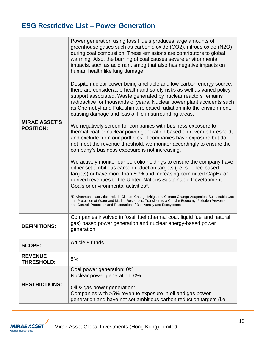### **ESG Restrictive List – Power Generation**

| <b>MIRAE ASSET'S</b><br><b>POSITION:</b> | Power generation using fossil fuels produces large amounts of<br>greenhouse gases such as carbon dioxide (CO2), nitrous oxide (N2O)<br>during coal combustion. These emissions are contributors to global<br>warming. Also, the burning of coal causes severe environmental<br>impacts, such as acid rain, smog that also has negative impacts on<br>human health like lung damage.<br>Despite nuclear power being a reliable and low-carbon energy source,<br>there are considerable health and safety risks as well as varied policy<br>support associated. Waste generated by nuclear reactors remains<br>radioactive for thousands of years. Nuclear power plant accidents such<br>as Chernobyl and Fukushima released radiation into the environment,<br>causing damage and loss of life in surrounding areas.<br>We negatively screen for companies with business exposure to<br>thermal coal or nuclear power generation based on revenue threshold,<br>and exclude from our portfolios. If companies have exposure but do<br>not meet the revenue threshold, we monitor accordingly to ensure the<br>company's business exposure is not increasing.<br>We actively monitor our portfolio holdings to ensure the company have<br>either set ambitious carbon reduction targets (i.e. science-based<br>targets) or have more than 50% and increasing committed CapEx or<br>derived revenues to the United Nations Sustainable Development<br>Goals or environmental activities*.<br>*Environmental activities include Climate Change Mitigation, Climate Change Adaptation, Sustainable Use<br>and Protection of Water and Marine Resources, Transition to a Circular Economy, Pollution Prevention<br>and Control, Protection and Restoration of Biodiversity and Ecosystems |
|------------------------------------------|-------------------------------------------------------------------------------------------------------------------------------------------------------------------------------------------------------------------------------------------------------------------------------------------------------------------------------------------------------------------------------------------------------------------------------------------------------------------------------------------------------------------------------------------------------------------------------------------------------------------------------------------------------------------------------------------------------------------------------------------------------------------------------------------------------------------------------------------------------------------------------------------------------------------------------------------------------------------------------------------------------------------------------------------------------------------------------------------------------------------------------------------------------------------------------------------------------------------------------------------------------------------------------------------------------------------------------------------------------------------------------------------------------------------------------------------------------------------------------------------------------------------------------------------------------------------------------------------------------------------------------------------------------------------------------------------------------------------------------------------------------------------------------------|
| <b>DEFINITIONS:</b>                      | Companies involved in fossil fuel (thermal coal, liquid fuel and natural<br>gas) based power generation and nuclear energy-based power<br>generation.                                                                                                                                                                                                                                                                                                                                                                                                                                                                                                                                                                                                                                                                                                                                                                                                                                                                                                                                                                                                                                                                                                                                                                                                                                                                                                                                                                                                                                                                                                                                                                                                                               |
| <b>SCOPE:</b>                            | Article 8 funds                                                                                                                                                                                                                                                                                                                                                                                                                                                                                                                                                                                                                                                                                                                                                                                                                                                                                                                                                                                                                                                                                                                                                                                                                                                                                                                                                                                                                                                                                                                                                                                                                                                                                                                                                                     |
| <b>REVENUE</b><br><b>THRESHOLD:</b>      | 5%                                                                                                                                                                                                                                                                                                                                                                                                                                                                                                                                                                                                                                                                                                                                                                                                                                                                                                                                                                                                                                                                                                                                                                                                                                                                                                                                                                                                                                                                                                                                                                                                                                                                                                                                                                                  |
| <b>RESTRICTIONS:</b>                     | Coal power generation: 0%<br>Nuclear power generation: 0%<br>Oil & gas power generation:<br>Companies with >5% revenue exposure in oil and gas power<br>generation and have not set ambitious carbon reduction targets (i.e.                                                                                                                                                                                                                                                                                                                                                                                                                                                                                                                                                                                                                                                                                                                                                                                                                                                                                                                                                                                                                                                                                                                                                                                                                                                                                                                                                                                                                                                                                                                                                        |

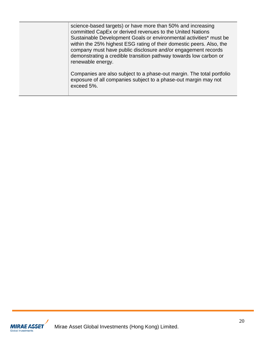| science-based targets) or have more than 50% and increasing<br>committed CapEx or derived revenues to the United Nations<br>Sustainable Development Goals or environmental activities* must be<br>within the 25% highest ESG rating of their domestic peers. Also, the<br>company must have public disclosure and/or engagement records<br>demonstrating a credible transition pathway towards low carbon or<br>renewable energy. |
|-----------------------------------------------------------------------------------------------------------------------------------------------------------------------------------------------------------------------------------------------------------------------------------------------------------------------------------------------------------------------------------------------------------------------------------|
| Companies are also subject to a phase-out margin. The total portfolio<br>exposure of all companies subject to a phase-out margin may not<br>exceed 5%.                                                                                                                                                                                                                                                                            |

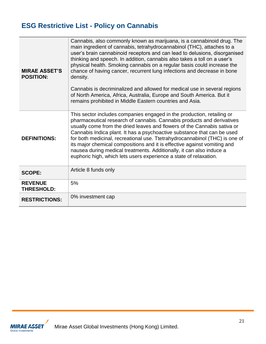# **ESG Restrictive List - Policy on Cannabis**

| <b>MIRAE ASSET'S</b><br><b>POSITION:</b> | Cannabis, also commonly known as marijuana, is a cannabinoid drug. The<br>main ingredient of cannabis, tetrahydrocannabinol (THC), attaches to a<br>user's brain cannabinoid receptors and can lead to delusions, disorganised<br>thinking and speech. In addition, cannabis also takes a toll on a user's<br>physical health. Smoking cannabis on a regular basis could increase the<br>chance of having cancer, recurrent lung infections and decrease in bone<br>density.<br>Cannabis is decriminalized and allowed for medical use in several regions<br>of North America, Africa, Australia, Europe and South America. But it<br>remains prohibited in Middle Eastern countries and Asia. |
|------------------------------------------|------------------------------------------------------------------------------------------------------------------------------------------------------------------------------------------------------------------------------------------------------------------------------------------------------------------------------------------------------------------------------------------------------------------------------------------------------------------------------------------------------------------------------------------------------------------------------------------------------------------------------------------------------------------------------------------------|
| <b>DEFINITIONS:</b>                      | This sector includes companies engaged in the production, retailing or<br>pharmaceutical research of cannabis. Cannabis products and derivatives<br>usually come from the dried leaves and flowers of the Cannabis sativa or<br>Cannabis Indica plant. It has a psychoactive substance that can be used<br>for both medicinal, recreational use. Ttetrahydrocannabinol (THC) is one of<br>its major chemical compositions and it is effective against vomiting and<br>nausea during medical treatments. Additionally, it can also induce a<br>euphoric high, which lets users experience a state of relaxation.                                                                                |
| <b>SCOPE:</b>                            | Article 8 funds only                                                                                                                                                                                                                                                                                                                                                                                                                                                                                                                                                                                                                                                                           |
| <b>REVENUE</b><br><b>THRESHOLD:</b>      | 5%                                                                                                                                                                                                                                                                                                                                                                                                                                                                                                                                                                                                                                                                                             |
| <b>RESTRICTIONS:</b>                     | 0% investment cap                                                                                                                                                                                                                                                                                                                                                                                                                                                                                                                                                                                                                                                                              |

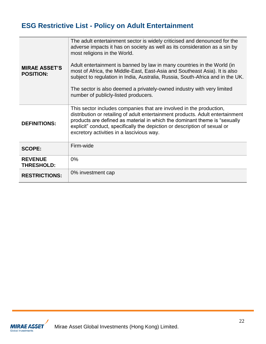# **ESG Restrictive List - Policy on Adult Entertainment**

| <b>MIRAE ASSET'S</b><br><b>POSITION:</b> | The adult entertainment sector is widely criticised and denounced for the<br>adverse impacts it has on society as well as its consideration as a sin by<br>most religions in the World.<br>Adult entertainment is banned by law in many countries in the World (in<br>most of Africa, the Middle-East, East-Asia and Southeast Asia). It is also<br>subject to regulation in India, Australia, Russia, South-Africa and in the UK.<br>The sector is also deemed a privately-owned industry with very limited<br>number of publicly-listed producers. |
|------------------------------------------|------------------------------------------------------------------------------------------------------------------------------------------------------------------------------------------------------------------------------------------------------------------------------------------------------------------------------------------------------------------------------------------------------------------------------------------------------------------------------------------------------------------------------------------------------|
| <b>DEFINITIONS:</b>                      | This sector includes companies that are involved in the production,<br>distribution or retailing of adult entertainment products. Adult entertainment<br>products are defined as material in which the dominant theme is "sexually<br>explicit" conduct, specifically the depiction or description of sexual or<br>excretory activities in a lascivious way.                                                                                                                                                                                         |
| <b>SCOPE:</b>                            | Firm-wide                                                                                                                                                                                                                                                                                                                                                                                                                                                                                                                                            |
| <b>REVENUE</b><br><b>THRESHOLD:</b>      | $0\%$                                                                                                                                                                                                                                                                                                                                                                                                                                                                                                                                                |
| <b>RESTRICTIONS:</b>                     | 0% investment cap                                                                                                                                                                                                                                                                                                                                                                                                                                                                                                                                    |